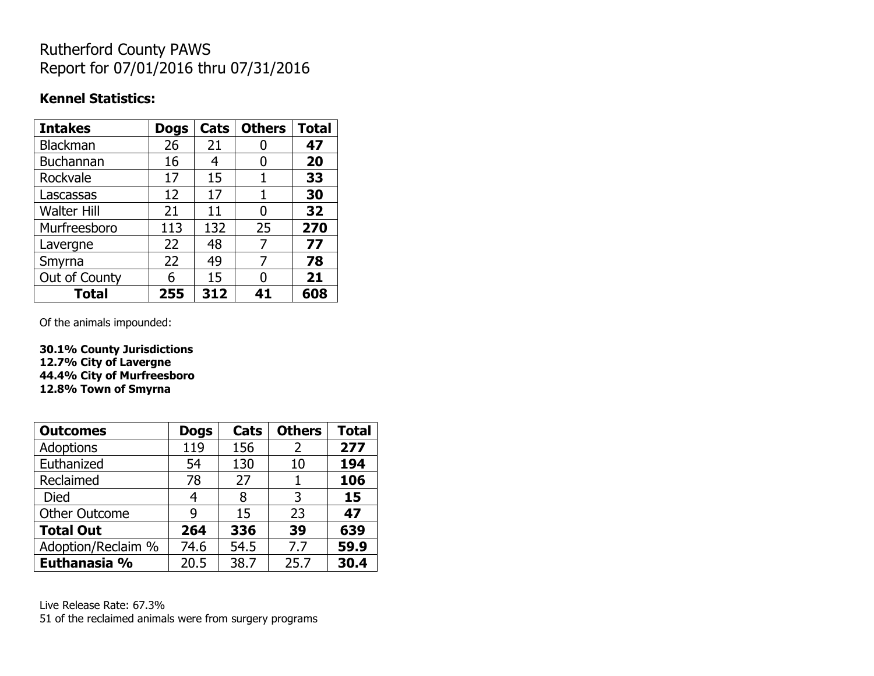## Rutherford County PAWS Report for 07/01/2016 thru 07/31/2016

## **Kennel Statistics:**

| <b>Intakes</b>     | <b>Dogs</b> | Cats | <b>Others</b> | <b>Total</b> |
|--------------------|-------------|------|---------------|--------------|
| <b>Blackman</b>    | 26          | 21   |               | 47           |
| <b>Buchannan</b>   | 16          | 4    | 0             | 20           |
| Rockvale           | 17          | 15   | 1             | 33           |
| Lascassas          | 12          | 17   | 1             | 30           |
| <b>Walter Hill</b> | 21          | 11   | 0             | 32           |
| Murfreesboro       | 113         | 132  | 25            | 270          |
| Lavergne           | 22          | 48   | 7             | 77           |
| Smyrna             | 22          | 49   | 7             | 78           |
| Out of County      | 6           | 15   | 0             | 21           |
| Total              | 255         | 312  | 41            | 608          |

Of the animals impounded:

**30.1% County Jurisdictions 12.7% City of Lavergne 44.4% City of Murfreesboro 12.8% Town of Smyrna**

| <b>Outcomes</b>      | <b>Dogs</b> | Cats | <b>Others</b> | <b>Total</b> |
|----------------------|-------------|------|---------------|--------------|
| Adoptions            | 119         | 156  | 2             | 277          |
| Euthanized           | 54          | 130  | 10            | 194          |
| Reclaimed            | 78          | 27   |               | 106          |
| <b>Died</b>          | 4           | 8    | 3             | 15           |
| <b>Other Outcome</b> | 9           | 15   | 23            | 47           |
| <b>Total Out</b>     | 264         | 336  | 39            | 639          |
| Adoption/Reclaim %   | 74.6        | 54.5 | 7.7           | 59.9         |
| Euthanasia %         | 20.5        | 38.7 | 25.7          | 30.4         |

Live Release Rate: 67.3% 51 of the reclaimed animals were from surgery programs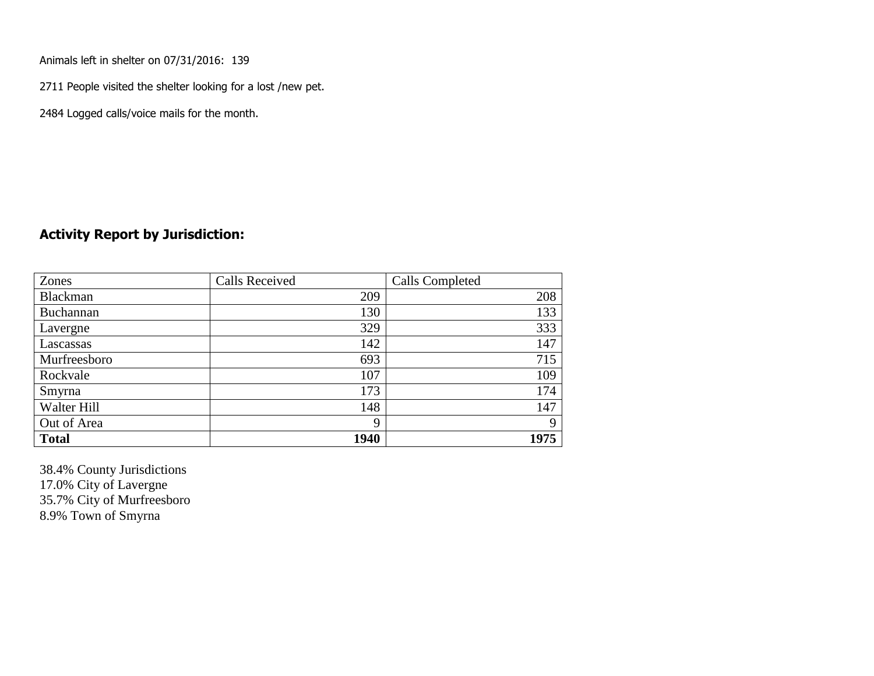Animals left in shelter on 07/31/2016: 139

2711 People visited the shelter looking for a lost /new pet.

2484 Logged calls/voice mails for the month.

## **Activity Report by Jurisdiction:**

| Zones        | <b>Calls Received</b> | Calls Completed |
|--------------|-----------------------|-----------------|
| Blackman     | 209                   | 208             |
| Buchannan    | 130                   | 133             |
| Lavergne     | 329                   | 333             |
| Lascassas    | 142                   | 147             |
| Murfreesboro | 693                   | 715             |
| Rockvale     | 107                   | 109             |
| Smyrna       | 173                   | 174             |
| Walter Hill  | 148                   | 147             |
| Out of Area  | 9                     | $\mathbf Q$     |
| <b>Total</b> | 1940                  | 1975            |

38.4% County Jurisdictions 17.0% City of Lavergne 35.7% City of Murfreesboro 8.9% Town of Smyrna